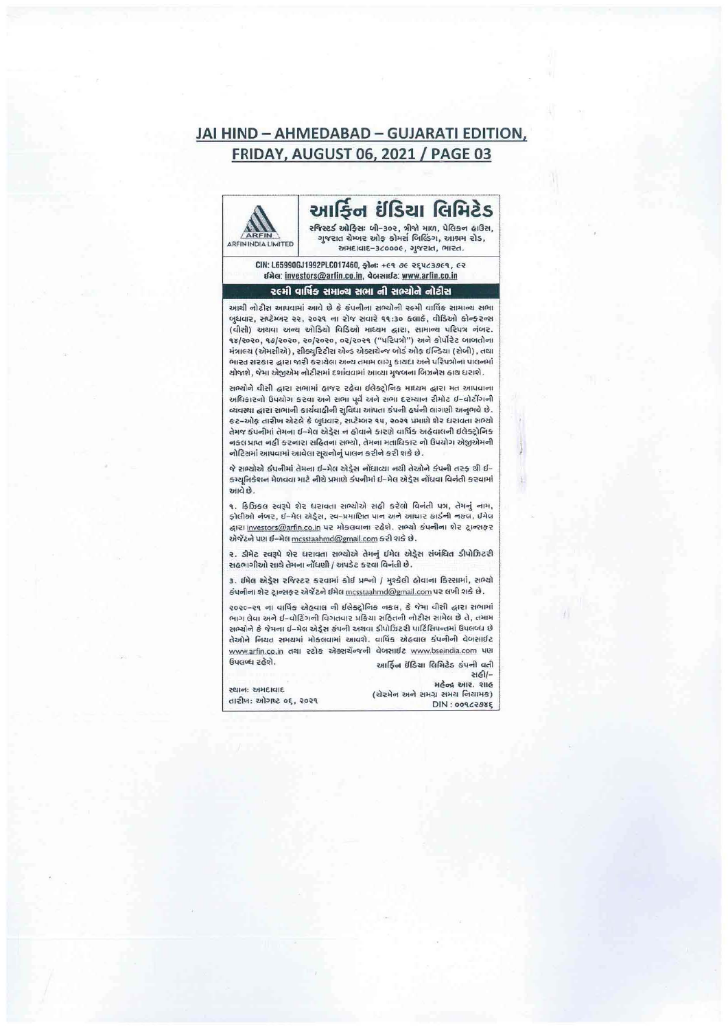## JAI HIND - AHMEDABAD - GUJARATI EDITION, **FRIDAY, AUGUST 06, 2021 / PAGE 03**



CIN: L65990GJ1992PLC017460, @lot: +cq oc egucaseq, ce dala: investors@arfin.co.in, doranda: www.arfin.co.in

## રલ્મી વાર્ષિક સમાન્ય સભા ની સભ્યોને નોટીસ

આથી નોટીસ આપવામાં આવે છે કે કંપનીના સભ્યોની રહમી વાર્ષિક સામાન્ય સભા બુધવાર, સપ્ટેમ્બર ૨૨, ૨૦૨૧ ના રોજ સવારે ૧૧:૩૦ કલાકે, વીડિઓ કોન્ફરન્સ (વીસી) અથવા અન્ય ઓડિયો વિડિઓ માધ્યમ દ્વારા, સામાન્ય પરિપત્ર નંબર. १४/२०२०, १७/२०२०, २०/२०२०, ०२/२०२१ ("परिपत्रो") अने कोर्पोरेट जाजतोना મંત્રાલય (એમસીએ), સીક્યુરિટીસ એન્ડ એક્સચેન્જ બોર્ડ ઓફ ઈન્ડિયા (સેબી), તથા ભારત સરકાર દ્વારા જારી કરાયેલા અન્ય તમામ લાગુ કાયદા અને પરિપત્રોના પાલનમાં ચોજાશે, જેમા એજીએમ નોટીસમાં દર્શાવવામાં આવ્યા મુજબના બિઝનેસ હાથ ધરાશે.

સભ્યોને વીસી દ્વારા સભામાં હાજર રહેવા ઈલેક્ટ્રોનિક માધ્યમ દ્વારા મત આપવાના અધિકારનો ઉપયોગ કરવા અને સભા પૂર્વે અને સભા દરમ્યાન રીમોટ ઇ-વોટીંગની વ્યવસ્થા દ્વારા સભાની કાર્યવાહીની સુવિધા આપતા કંપની હર્ષની લાગણી અનુભવે છે. કટ-ઓફ તારીખ એટલે કે બુધવાર, સપ્ટેમ્બર ૧૫, ૨૦૨૧ પ્રમાણે શેર ધરાવતા સભ્યો તેમજ કંપનીમાં તેમના ઈ-મેલ એડ્રેસ ન હોવાને કારણે વાર્ષિક અહેવાલની ઈલેક્ટ્રોનિક નકલ પ્રાપ્ત નહીં કરનારા સહિતના સભ્યો, તેમના મતાધિકાર નો ઉપયોગ એજીએમની નોટિસમાં આપવામાં આવેલા સૂચનોનું પાલન કરીને કરી શકે છે.

જે સભ્યોએ કંપનીમાં તેમના ઈ-મેલ એડ્રેસ નોંધાવ્યા નથી તેઓને કંપની તરફ થી ઈ-કમ્યુનિકેશન મેળવવા માટે નીચે પ્રમાણે કંપનીમાં ઈ-મેલ એડ્રેસ નોંધવા વિનંતી કરવામાં આવે છે.

૧. ફિઝિકલ સ્વરૂપે શેર ધરાવતા સભ્યોએ સહી કરેલો વિનંતી પત્ર, તેમનું નામ, ફોલીઓ નંબર, ઈ-મેલ એડ્રેસ, સ્વ-પ્રમાણિત પાન અને આધાર કાર્ડની નકલ, ઈમેલ द्धारा investors@arfin.co.in पर भोड़सवाला रहेशे. सभ्यो डंपलीला शेर ट्रान्शइर એજેંટને પણ ઈ-મેલ mcsstaahmd@gmail.com કરી શકે છે.

૨. ડીમેટ સ્વરૂપે શેર ધરાવતા સભ્યોએ તેમનું ઈમેલ એડ્રેસ સંબંધિત ડીપોઝિટરી સહભાગીઓ સાથે તેમના નોંધણી / અપડેટ કરવા વિનંતી છે.

3. ઈમેલ એડ્રેસ રજિસ્ટર કરવામાં કોઈ પ્રશ્નો / મુશ્કેલી હોવાના કિસ્સામાં, સભ્યો કંપનીના શેર ટ્રાન્સફર એર્જેટને ઈમેલ mcsstaahmd@gmail.com પર લખી શકે છે.

૨૦૨૦–૨૧ ના વાર્ષિક એહવાલ ની ઈલેક્ટ્રોનિક નકલ, કે જેમા વીસી દ્વારા સભામાં ભાગ લેવા અને ઈ-વોટિંગની વિગતવાર પ્રક્રિયા સહિતની નોટીસ સામેલ છે તે, તમામ સભ્યોને કે જેમના ઈ-મેલ એડ્રેસ કંપની અથવા ડીપોઝિટરી પાર્ટિસિપન્તમાં ઉપલબ્ધ છે તેઓને નિચત સમયમાં મોકલવામાં આવશે. વાર્ષિક એહવાલ કંપનીની વેબસાઈટ www.arfin.co.in dell 22) કે એક્સચેન્જની વેબસાઈટ www.bseindia.com પણ ઉપલબ્ધ રહેશે. આર્ફિન ઇંડિયા લિમિટેડ કંપની વતી

સહી/-મહેન્દ્ર આર. શાહ (ચેરમેન અને સમગ્ર સમય નિયામક) DIN: 00962085

સ્થાન: અમદાવાદ तारीण: ઓગષ્ટ ०६, २०२१